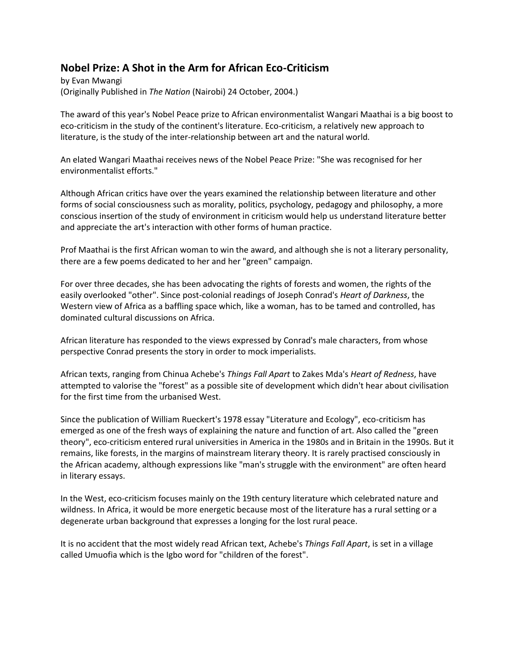## **Nobel Prize: A Shot in the Arm for African Eco-Criticism**

by Evan Mwangi (Originally Published in *The Nation* (Nairobi) 24 October, 2004.)

The award of this year's Nobel Peace prize to African environmentalist Wangari Maathai is a big boost to eco-criticism in the study of the continent's literature. Eco-criticism, a relatively new approach to literature, is the study of the inter-relationship between art and the natural world.

An elated Wangari Maathai receives news of the Nobel Peace Prize: "She was recognised for her environmentalist efforts."

Although African critics have over the years examined the relationship between literature and other forms of social consciousness such as morality, politics, psychology, pedagogy and philosophy, a more conscious insertion of the study of environment in criticism would help us understand literature better and appreciate the art's interaction with other forms of human practice.

Prof Maathai is the first African woman to win the award, and although she is not a literary personality, there are a few poems dedicated to her and her "green" campaign.

For over three decades, she has been advocating the rights of forests and women, the rights of the easily overlooked "other". Since post-colonial readings of Joseph Conrad's *Heart of Darkness*, the Western view of Africa as a baffling space which, like a woman, has to be tamed and controlled, has dominated cultural discussions on Africa.

African literature has responded to the views expressed by Conrad's male characters, from whose perspective Conrad presents the story in order to mock imperialists.

African texts, ranging from Chinua Achebe's *Things Fall Apart* to Zakes Mda's *Heart of Redness*, have attempted to valorise the "forest" as a possible site of development which didn't hear about civilisation for the first time from the urbanised West.

Since the publication of William Rueckert's 1978 essay "Literature and Ecology", eco-criticism has emerged as one of the fresh ways of explaining the nature and function of art. Also called the "green theory", eco-criticism entered rural universities in America in the 1980s and in Britain in the 1990s. But it remains, like forests, in the margins of mainstream literary theory. It is rarely practised consciously in the African academy, although expressions like "man's struggle with the environment" are often heard in literary essays.

In the West, eco-criticism focuses mainly on the 19th century literature which celebrated nature and wildness. In Africa, it would be more energetic because most of the literature has a rural setting or a degenerate urban background that expresses a longing for the lost rural peace.

It is no accident that the most widely read African text, Achebe's *Things Fall Apart*, is set in a village called Umuofia which is the Igbo word for "children of the forest".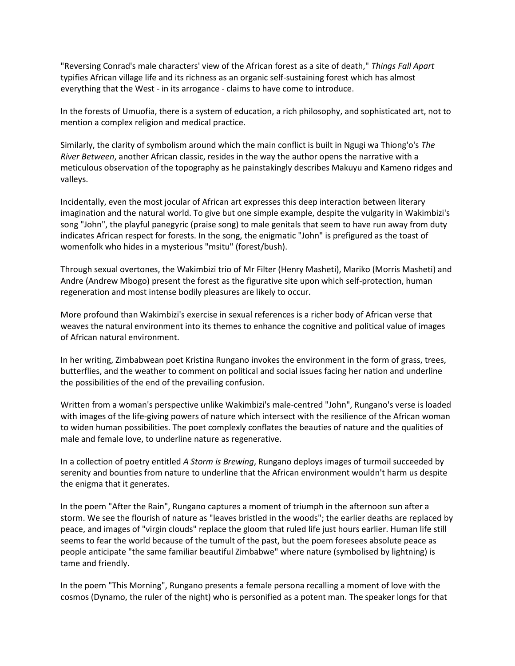"Reversing Conrad's male characters' view of the African forest as a site of death," *Things Fall Apart* typifies African village life and its richness as an organic self-sustaining forest which has almost everything that the West - in its arrogance - claims to have come to introduce.

In the forests of Umuofia, there is a system of education, a rich philosophy, and sophisticated art, not to mention a complex religion and medical practice.

Similarly, the clarity of symbolism around which the main conflict is built in Ngugi wa Thiong'o's *The River Between*, another African classic, resides in the way the author opens the narrative with a meticulous observation of the topography as he painstakingly describes Makuyu and Kameno ridges and valleys.

Incidentally, even the most jocular of African art expresses this deep interaction between literary imagination and the natural world. To give but one simple example, despite the vulgarity in Wakimbizi's song "John", the playful panegyric (praise song) to male genitals that seem to have run away from duty indicates African respect for forests. In the song, the enigmatic "John" is prefigured as the toast of womenfolk who hides in a mysterious "msitu" (forest/bush).

Through sexual overtones, the Wakimbizi trio of Mr Filter (Henry Masheti), Mariko (Morris Masheti) and Andre (Andrew Mbogo) present the forest as the figurative site upon which self-protection, human regeneration and most intense bodily pleasures are likely to occur.

More profound than Wakimbizi's exercise in sexual references is a richer body of African verse that weaves the natural environment into its themes to enhance the cognitive and political value of images of African natural environment.

In her writing, Zimbabwean poet Kristina Rungano invokes the environment in the form of grass, trees, butterflies, and the weather to comment on political and social issues facing her nation and underline the possibilities of the end of the prevailing confusion.

Written from a woman's perspective unlike Wakimbizi's male-centred "John", Rungano's verse is loaded with images of the life-giving powers of nature which intersect with the resilience of the African woman to widen human possibilities. The poet complexly conflates the beauties of nature and the qualities of male and female love, to underline nature as regenerative.

In a collection of poetry entitled *A Storm is Brewing*, Rungano deploys images of turmoil succeeded by serenity and bounties from nature to underline that the African environment wouldn't harm us despite the enigma that it generates.

In the poem "After the Rain", Rungano captures a moment of triumph in the afternoon sun after a storm. We see the flourish of nature as "leaves bristled in the woods"; the earlier deaths are replaced by peace, and images of "virgin clouds" replace the gloom that ruled life just hours earlier. Human life still seems to fear the world because of the tumult of the past, but the poem foresees absolute peace as people anticipate "the same familiar beautiful Zimbabwe" where nature (symbolised by lightning) is tame and friendly.

In the poem "This Morning", Rungano presents a female persona recalling a moment of love with the cosmos (Dynamo, the ruler of the night) who is personified as a potent man. The speaker longs for that